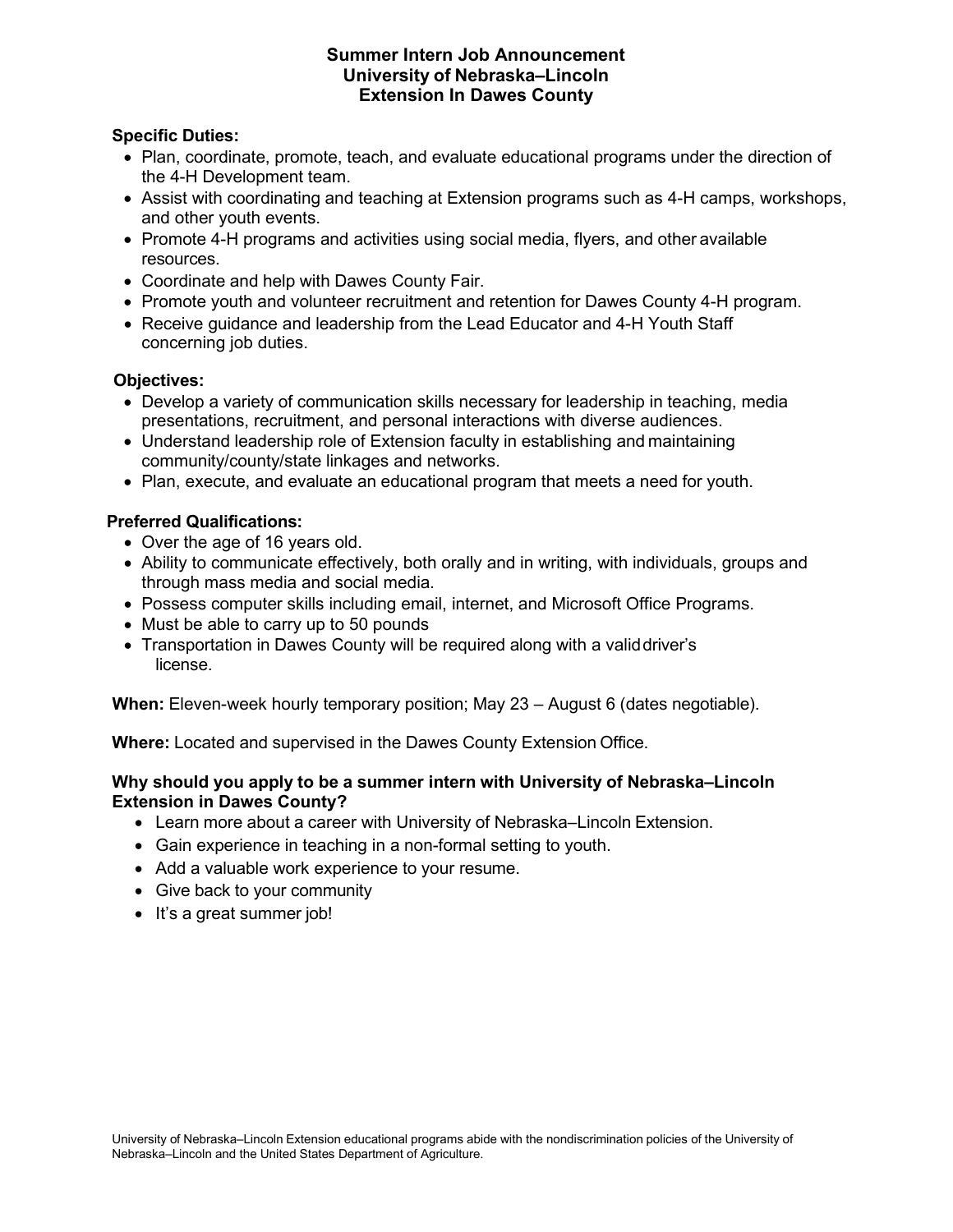#### **Summer Intern Job Announcement University of Nebraska–Lincoln Extension In Dawes County**

## **Specific Duties:**

- Plan, coordinate, promote, teach, and evaluate educational programs under the direction of the 4-H Development team.
- Assist with coordinating and teaching at Extension programs such as 4-H camps, workshops, and other youth events.
- Promote 4-H programs and activities using social media, flyers, and other available resources.
- Coordinate and help with Dawes County Fair.
- Promote youth and volunteer recruitment and retention for Dawes County 4-H program.
- Receive guidance and leadership from the Lead Educator and 4-H Youth Staff concerning job duties.

### **Objectives:**

- Develop a variety of communication skills necessary for leadership in teaching, media presentations, recruitment, and personal interactions with diverse audiences.
- Understand leadership role of Extension faculty in establishing and maintaining community/county/state linkages and networks.
- Plan, execute, and evaluate an educational program that meets a need for youth.

## **Preferred Qualifications:**

- Over the age of 16 years old.
- Ability to communicate effectively, both orally and in writing, with individuals, groups and through mass media and social media.
- Possess computer skills including email, internet, and Microsoft Office Programs.
- Must be able to carry up to 50 pounds
- Transportation in Dawes County will be required along with a validdriver's license.

**When:** Eleven-week hourly temporary position; May 23 – August 6 (dates negotiable).

**Where:** Located and supervised in the Dawes County Extension Office.

### **Why should you apply to be a summer intern with University of Nebraska–Lincoln Extension in Dawes County?**

- Learn more about a career with University of Nebraska–Lincoln Extension.
- Gain experience in teaching in a non-formal setting to youth.
- Add a valuable work experience to your resume.
- Give back to your community
- It's a great summer job!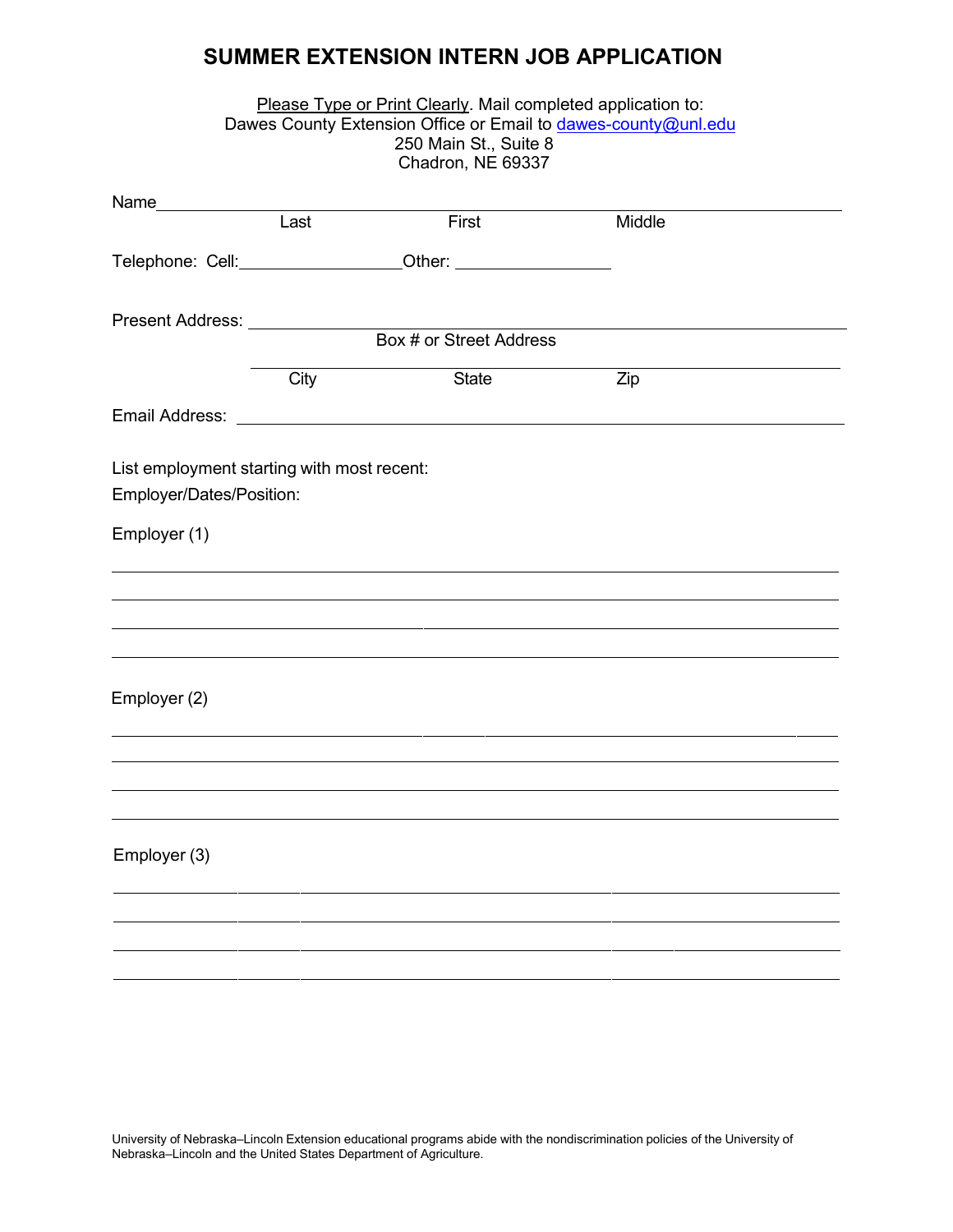# **SUMMER EXTENSION INTERN JOB APPLICATION**

|                                                                        |      | Please Type or Print Clearly. Mail completed application to:<br>250 Main St., Suite 8<br>Chadron, NE 69337 | Dawes County Extension Office or Email to dawes-county@unl.edu |  |
|------------------------------------------------------------------------|------|------------------------------------------------------------------------------------------------------------|----------------------------------------------------------------|--|
|                                                                        |      |                                                                                                            |                                                                |  |
|                                                                        | Last | First                                                                                                      | Middle                                                         |  |
|                                                                        |      | Telephone: Cell: ______________________Other: __________________________________                           |                                                                |  |
| Present Address: Universe Present Address:                             |      | Box # or Street Address                                                                                    |                                                                |  |
|                                                                        |      |                                                                                                            |                                                                |  |
|                                                                        | City | State                                                                                                      | Zip                                                            |  |
|                                                                        |      |                                                                                                            |                                                                |  |
| List employment starting with most recent:<br>Employer/Dates/Position: |      |                                                                                                            |                                                                |  |
| Employer (1)                                                           |      |                                                                                                            |                                                                |  |
|                                                                        |      |                                                                                                            |                                                                |  |
|                                                                        |      |                                                                                                            |                                                                |  |
|                                                                        |      |                                                                                                            |                                                                |  |
| Employer (2)                                                           |      |                                                                                                            |                                                                |  |
|                                                                        |      |                                                                                                            |                                                                |  |
|                                                                        |      |                                                                                                            |                                                                |  |
|                                                                        |      |                                                                                                            |                                                                |  |
| Employer (3)                                                           |      |                                                                                                            |                                                                |  |
|                                                                        |      |                                                                                                            |                                                                |  |
|                                                                        |      |                                                                                                            |                                                                |  |
|                                                                        |      |                                                                                                            |                                                                |  |
|                                                                        |      |                                                                                                            |                                                                |  |